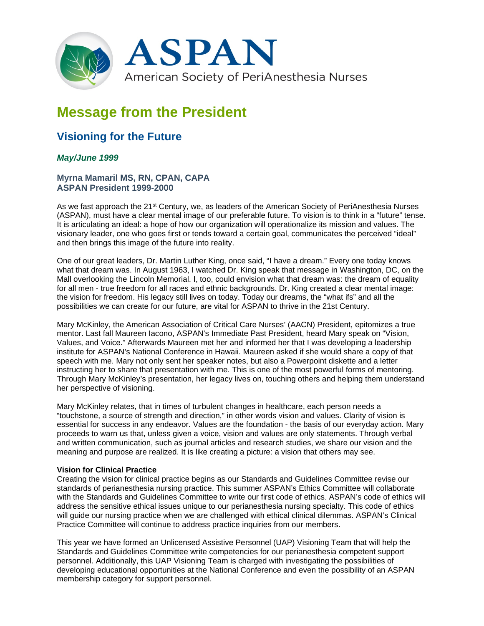

# **Message from the President**

# **Visioning for the Future**

# *May/June 1999*

# **Myrna Mamaril MS, RN, CPAN, CAPA ASPAN President 1999-2000**

As we fast approach the 21<sup>st</sup> Century, we, as leaders of the American Society of PeriAnesthesia Nurses (ASPAN), must have a clear mental image of our preferable future. To vision is to think in a "future" tense. It is articulating an ideal: a hope of how our organization will operationalize its mission and values. The visionary leader, one who goes first or tends toward a certain goal, communicates the perceived "ideal" and then brings this image of the future into reality.

One of our great leaders, Dr. Martin Luther King, once said, "I have a dream." Every one today knows what that dream was. In August 1963, I watched Dr. King speak that message in Washington, DC, on the Mall overlooking the Lincoln Memorial. I, too, could envision what that dream was: the dream of equality for all men - true freedom for all races and ethnic backgrounds. Dr. King created a clear mental image: the vision for freedom. His legacy still lives on today. Today our dreams, the "what ifs" and all the possibilities we can create for our future, are vital for ASPAN to thrive in the 21st Century.

Mary McKinley, the American Association of Critical Care Nurses' (AACN) President, epitomizes a true mentor. Last fall Maureen Iacono, ASPAN's Immediate Past President, heard Mary speak on "Vision, Values, and Voice." Afterwards Maureen met her and informed her that I was developing a leadership institute for ASPAN's National Conference in Hawaii. Maureen asked if she would share a copy of that speech with me. Mary not only sent her speaker notes, but also a Powerpoint diskette and a letter instructing her to share that presentation with me. This is one of the most powerful forms of mentoring. Through Mary McKinley's presentation, her legacy lives on, touching others and helping them understand her perspective of visioning.

Mary McKinley relates, that in times of turbulent changes in healthcare, each person needs a "touchstone, a source of strength and direction," in other words vision and values. Clarity of vision is essential for success in any endeavor. Values are the foundation - the basis of our everyday action. Mary proceeds to warn us that, unless given a voice, vision and values are only statements. Through verbal and written communication, such as journal articles and research studies, we share our vision and the meaning and purpose are realized. It is like creating a picture: a vision that others may see.

# **Vision for Clinical Practice**

Creating the vision for clinical practice begins as our Standards and Guidelines Committee revise our standards of perianesthesia nursing practice. This summer ASPAN's Ethics Committee will collaborate with the Standards and Guidelines Committee to write our first code of ethics. ASPAN's code of ethics will address the sensitive ethical issues unique to our perianesthesia nursing specialty. This code of ethics will guide our nursing practice when we are challenged with ethical clinical dilemmas. ASPAN's Clinical Practice Committee will continue to address practice inquiries from our members.

This year we have formed an Unlicensed Assistive Personnel (UAP) Visioning Team that will help the Standards and Guidelines Committee write competencies for our perianesthesia competent support personnel. Additionally, this UAP Visioning Team is charged with investigating the possibilities of developing educational opportunities at the National Conference and even the possibility of an ASPAN membership category for support personnel.